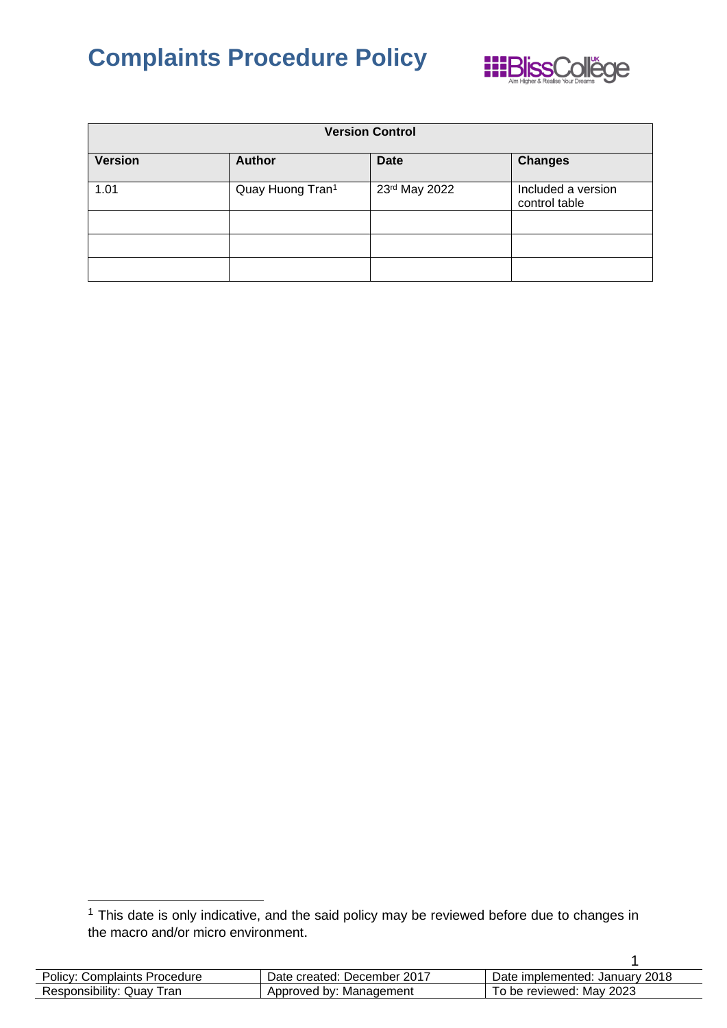

| <b>Version Control</b> |                  |               |                                     |
|------------------------|------------------|---------------|-------------------------------------|
| <b>Version</b>         | <b>Author</b>    | <b>Date</b>   | <b>Changes</b>                      |
| 1.01                   | Quay Huong Tran1 | 23rd May 2022 | Included a version<br>control table |
|                        |                  |               |                                     |
|                        |                  |               |                                     |
|                        |                  |               |                                     |

 $1$  This date is only indicative, and the said policy may be reviewed before due to changes in the macro and/or micro environment.

| <b>Policy: Complaints Procedure</b> | Date created: December 2017 | Date implemented: January 2018 |
|-------------------------------------|-----------------------------|--------------------------------|
| Responsibility: Quay Tran           | Approved by: Management     | To be reviewed: May 2023       |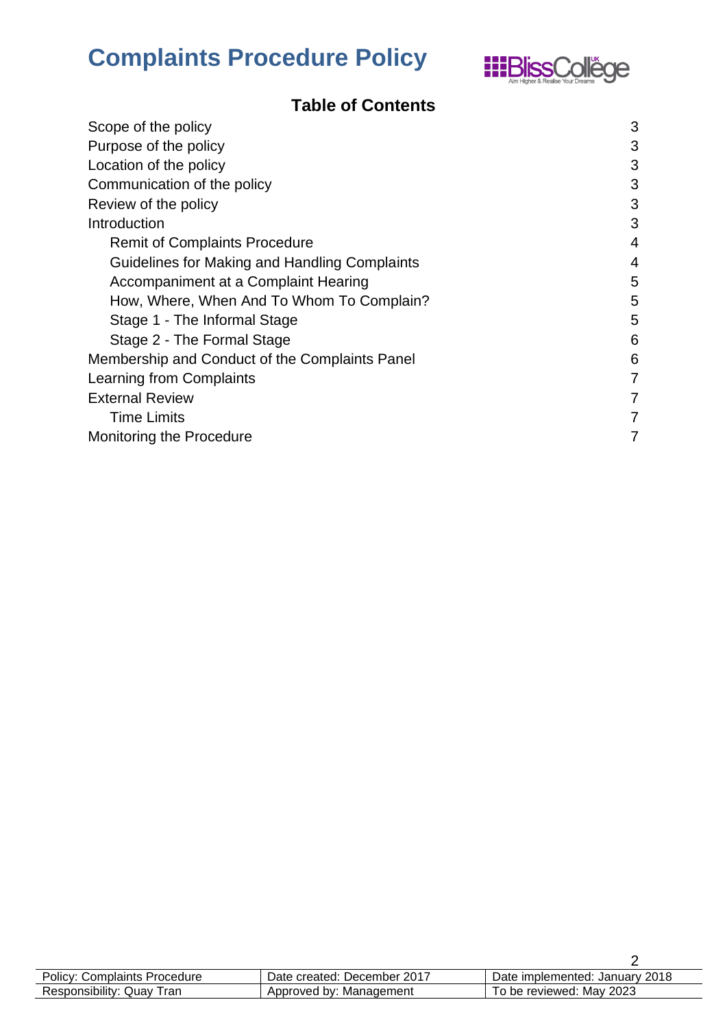

### **Table of Contents**

| Scope of the policy                            | 3              |
|------------------------------------------------|----------------|
| Purpose of the policy                          | 3              |
| Location of the policy                         | 3              |
| Communication of the policy                    | 3              |
| Review of the policy                           | 3              |
| Introduction                                   | 3              |
| <b>Remit of Complaints Procedure</b>           | $\overline{4}$ |
| Guidelines for Making and Handling Complaints  | $\overline{4}$ |
| Accompaniment at a Complaint Hearing           | 5              |
| How, Where, When And To Whom To Complain?      | 5              |
| Stage 1 - The Informal Stage                   | 5              |
| Stage 2 - The Formal Stage                     | 6              |
| Membership and Conduct of the Complaints Panel | 6              |
| Learning from Complaints                       | 7              |
| <b>External Review</b>                         | 7              |
| <b>Time Limits</b>                             | 7              |
| Monitoring the Procedure                       | 7              |

| <b>Policy: Complaints Procedure</b> | Date created: December 2017 | Date implemented: January 2018 |
|-------------------------------------|-----------------------------|--------------------------------|
| Responsibility: Quay Tran           | Approved by: Management     | To be reviewed: May 2023       |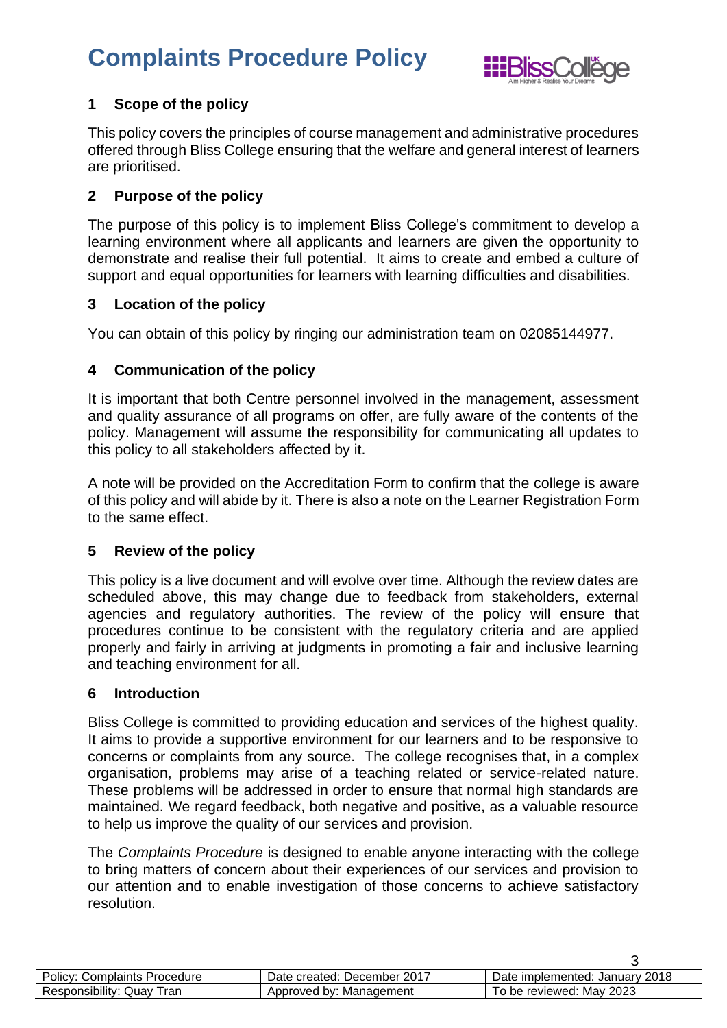

#### <span id="page-2-0"></span>**1 Scope of the policy**

This policy covers the principles of course management and administrative procedures offered through Bliss College ensuring that the welfare and general interest of learners are prioritised.

#### <span id="page-2-1"></span>**2 Purpose of the policy**

The purpose of this policy is to implement Bliss College's commitment to develop a learning environment where all applicants and learners are given the opportunity to demonstrate and realise their full potential. It aims to create and embed a culture of support and equal opportunities for learners with learning difficulties and disabilities.

#### <span id="page-2-2"></span>**3 Location of the policy**

<span id="page-2-3"></span>You can obtain of this policy by ringing our administration team on 02085144977.

#### **4 Communication of the policy**

It is important that both Centre personnel involved in the management, assessment and quality assurance of all programs on offer, are fully aware of the contents of the policy. Management will assume the responsibility for communicating all updates to this policy to all stakeholders affected by it.

A note will be provided on the Accreditation Form to confirm that the college is aware of this policy and will abide by it. There is also a note on the Learner Registration Form to the same effect.

#### <span id="page-2-4"></span>**5 Review of the policy**

This policy is a live document and will evolve over time. Although the review dates are scheduled above, this may change due to feedback from stakeholders, external agencies and regulatory authorities. The review of the policy will ensure that procedures continue to be consistent with the regulatory criteria and are applied properly and fairly in arriving at judgments in promoting a fair and inclusive learning and teaching environment for all.

#### <span id="page-2-5"></span>**6 Introduction**

Bliss College is committed to providing education and services of the highest quality. It aims to provide a supportive environment for our learners and to be responsive to concerns or complaints from any source. The college recognises that, in a complex organisation, problems may arise of a teaching related or service-related nature. These problems will be addressed in order to ensure that normal high standards are maintained. We regard feedback, both negative and positive, as a valuable resource to help us improve the quality of our services and provision.

The *Complaints Procedure* is designed to enable anyone interacting with the college to bring matters of concern about their experiences of our services and provision to our attention and to enable investigation of those concerns to achieve satisfactory resolution.

| <b>Policy: Complaints Procedure</b> | Date created: December 2017 | Date implemented: January 2018 |
|-------------------------------------|-----------------------------|--------------------------------|
| Responsibility: Quay Tran           | Approved by: Management     | To be reviewed: Mav 2023       |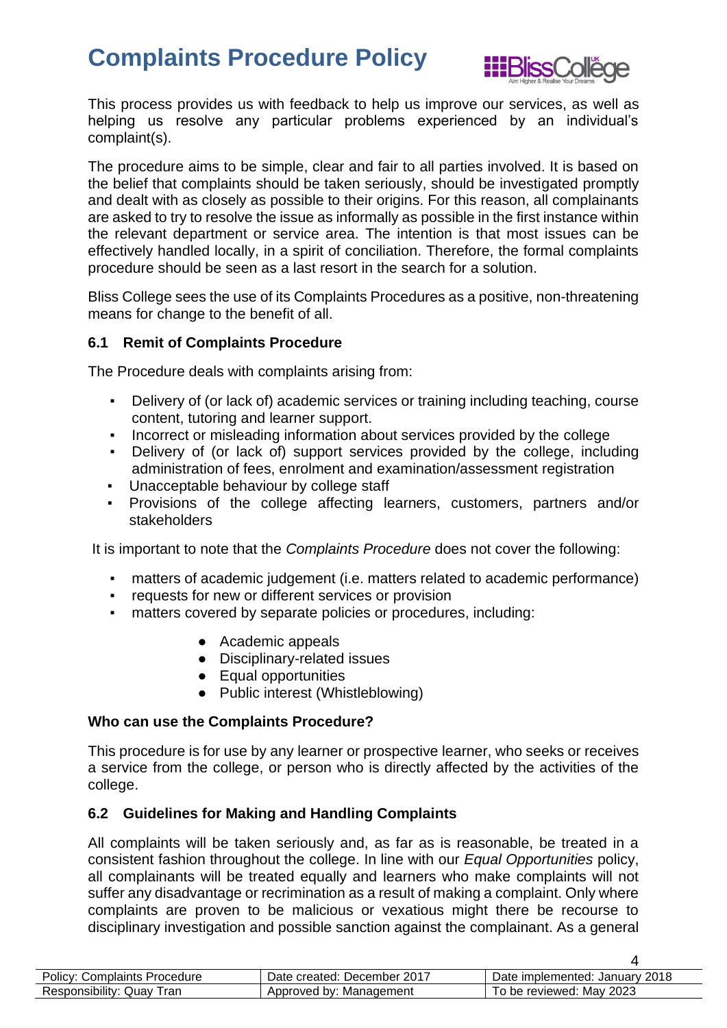

This process provides us with feedback to help us improve our services, as well as helping us resolve any particular problems experienced by an individual's complaint(s).

The procedure aims to be simple, clear and fair to all parties involved. It is based on the belief that complaints should be taken seriously, should be investigated promptly and dealt with as closely as possible to their origins. For this reason, all complainants are asked to try to resolve the issue as informally as possible in the first instance within the relevant department or service area. The intention is that most issues can be effectively handled locally, in a spirit of conciliation. Therefore, the formal complaints procedure should be seen as a last resort in the search for a solution.

Bliss College sees the use of its Complaints Procedures as a positive, non-threatening means for change to the benefit of all.

#### <span id="page-3-0"></span>**6.1 Remit of Complaints Procedure**

The Procedure deals with complaints arising from:

- Delivery of (or lack of) academic services or training including teaching, course content, tutoring and learner support.
- Incorrect or misleading information about services provided by the college
- Delivery of (or lack of) support services provided by the college, including administration of fees, enrolment and examination/assessment registration
- Unacceptable behaviour by college staff
- Provisions of the college affecting learners, customers, partners and/or stakeholders

It is important to note that the *Complaints Procedure* does not cover the following:

- matters of academic judgement (i.e. matters related to academic performance)
- requests for new or different services or provision
- matters covered by separate policies or procedures, including:
	- Academic appeals
	- Disciplinary-related issues
	- Equal opportunities
	- Public interest (Whistleblowing)

#### **Who can use the Complaints Procedure?**

This procedure is for use by any learner or prospective learner, who seeks or receives a service from the college, or person who is directly affected by the activities of the college.

#### <span id="page-3-1"></span>**6.2 Guidelines for Making and Handling Complaints**

All complaints will be taken seriously and, as far as is reasonable, be treated in a consistent fashion throughout the college. In line with our *Equal Opportunities* policy, all complainants will be treated equally and learners who make complaints will not suffer any disadvantage or recrimination as a result of making a complaint. Only where complaints are proven to be malicious or vexatious might there be recourse to disciplinary investigation and possible sanction against the complainant. As a general

| <b>Policy: Complaints Procedure</b> | Date created: December 2017 | Date implemented: January 2018 |
|-------------------------------------|-----------------------------|--------------------------------|
| Responsibility: Quay Tran           | Approved by: Management     | To be reviewed: May 2023       |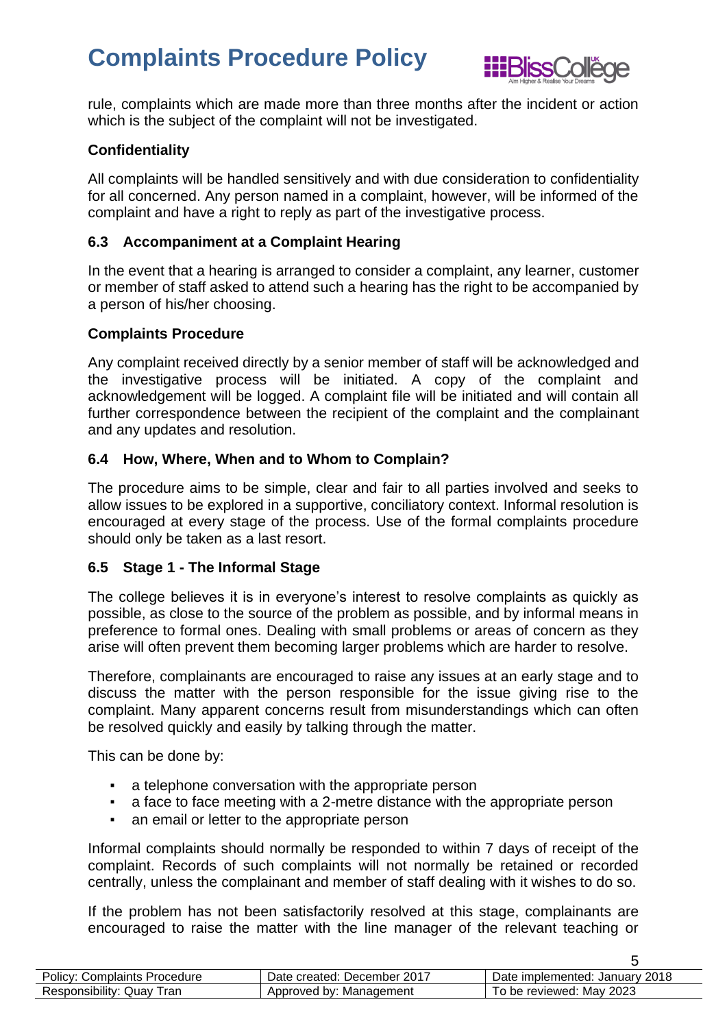

rule, complaints which are made more than three months after the incident or action which is the subject of the complaint will not be investigated.

#### **Confidentiality**

All complaints will be handled sensitively and with due consideration to confidentiality for all concerned. Any person named in a complaint, however, will be informed of the complaint and have a right to reply as part of the investigative process.

#### <span id="page-4-0"></span>**6.3 Accompaniment at a Complaint Hearing**

In the event that a hearing is arranged to consider a complaint, any learner, customer or member of staff asked to attend such a hearing has the right to be accompanied by a person of his/her choosing.

#### **Complaints Procedure**

Any complaint received directly by a senior member of staff will be acknowledged and the investigative process will be initiated. A copy of the complaint and acknowledgement will be logged. A complaint file will be initiated and will contain all further correspondence between the recipient of the complaint and the complainant and any updates and resolution.

#### <span id="page-4-1"></span>**6.4 How, Where, When and to Whom to Complain?**

The procedure aims to be simple, clear and fair to all parties involved and seeks to allow issues to be explored in a supportive, conciliatory context. Informal resolution is encouraged at every stage of the process. Use of the formal complaints procedure should only be taken as a last resort.

#### <span id="page-4-2"></span>**6.5 Stage 1 - The Informal Stage**

The college believes it is in everyone's interest to resolve complaints as quickly as possible, as close to the source of the problem as possible, and by informal means in preference to formal ones. Dealing with small problems or areas of concern as they arise will often prevent them becoming larger problems which are harder to resolve.

Therefore, complainants are encouraged to raise any issues at an early stage and to discuss the matter with the person responsible for the issue giving rise to the complaint. Many apparent concerns result from misunderstandings which can often be resolved quickly and easily by talking through the matter.

This can be done by:

- a telephone conversation with the appropriate person
- a face to face meeting with a 2-metre distance with the appropriate person
- **an email or letter to the appropriate person**

Informal complaints should normally be responded to within 7 days of receipt of the complaint. Records of such complaints will not normally be retained or recorded centrally, unless the complainant and member of staff dealing with it wishes to do so.

If the problem has not been satisfactorily resolved at this stage, complainants are encouraged to raise the matter with the line manager of the relevant teaching or

| Policy: Complaints Procedure | Date created: December 2017 | Date implemented: January 2018 |
|------------------------------|-----------------------------|--------------------------------|
| Responsibility: Quay<br>ran  | Approved by: Management     | To be reviewed: May 2023       |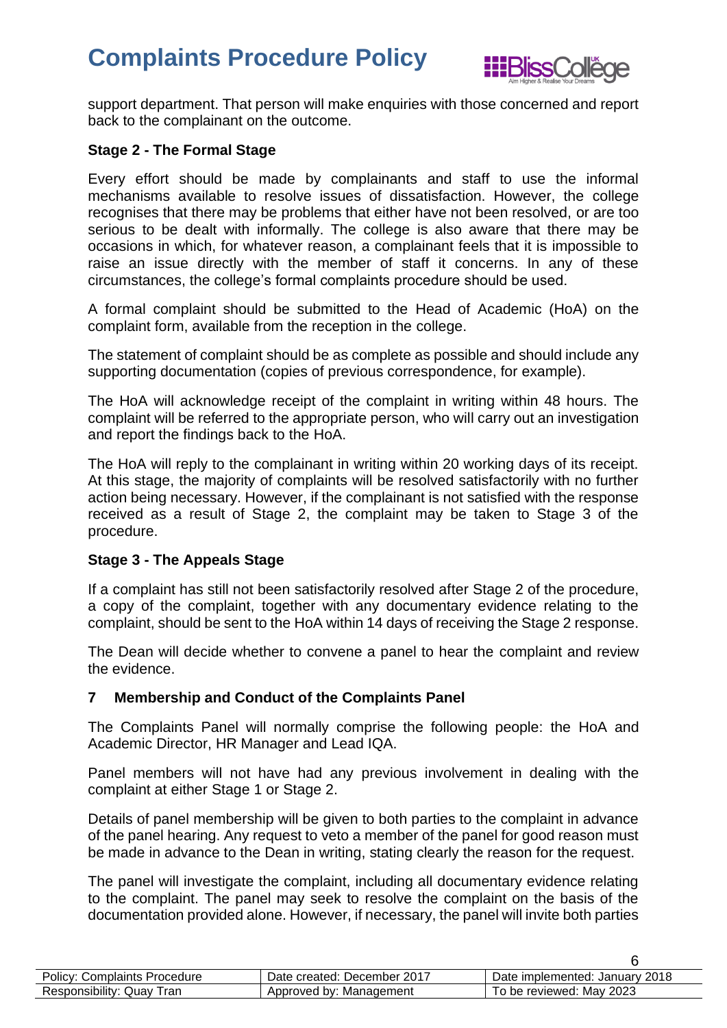

support department. That person will make enquiries with those concerned and report back to the complainant on the outcome.

#### <span id="page-5-0"></span>**Stage 2 - The Formal Stage**

Every effort should be made by complainants and staff to use the informal mechanisms available to resolve issues of dissatisfaction. However, the college recognises that there may be problems that either have not been resolved, or are too serious to be dealt with informally. The college is also aware that there may be occasions in which, for whatever reason, a complainant feels that it is impossible to raise an issue directly with the member of staff it concerns. In any of these circumstances, the college's formal complaints procedure should be used.

A formal complaint should be submitted to the Head of Academic (HoA) on the complaint form, available from the reception in the college.

The statement of complaint should be as complete as possible and should include any supporting documentation (copies of previous correspondence, for example).

The HoA will acknowledge receipt of the complaint in writing within 48 hours. The complaint will be referred to the appropriate person, who will carry out an investigation and report the findings back to the HoA.

The HoA will reply to the complainant in writing within 20 working days of its receipt. At this stage, the majority of complaints will be resolved satisfactorily with no further action being necessary. However, if the complainant is not satisfied with the response received as a result of Stage 2, the complaint may be taken to Stage 3 of the procedure.

#### **Stage 3 - The Appeals Stage**

If a complaint has still not been satisfactorily resolved after Stage 2 of the procedure, a copy of the complaint, together with any documentary evidence relating to the complaint, should be sent to the HoA within 14 days of receiving the Stage 2 response.

The Dean will decide whether to convene a panel to hear the complaint and review the evidence.

#### <span id="page-5-1"></span>**7 Membership and Conduct of the Complaints Panel**

The Complaints Panel will normally comprise the following people: the HoA and Academic Director, HR Manager and Lead IQA.

Panel members will not have had any previous involvement in dealing with the complaint at either Stage 1 or Stage 2.

Details of panel membership will be given to both parties to the complaint in advance of the panel hearing. Any request to veto a member of the panel for good reason must be made in advance to the Dean in writing, stating clearly the reason for the request.

The panel will investigate the complaint, including all documentary evidence relating to the complaint. The panel may seek to resolve the complaint on the basis of the documentation provided alone. However, if necessary, the panel will invite both parties

| <b>Policy: Complaints Procedure</b> | Date created: December 2017 | Date implemented: January 2018 |
|-------------------------------------|-----------------------------|--------------------------------|
| Responsibility: Quay Tran           | Approved by: Management     | To be reviewed: May 2023       |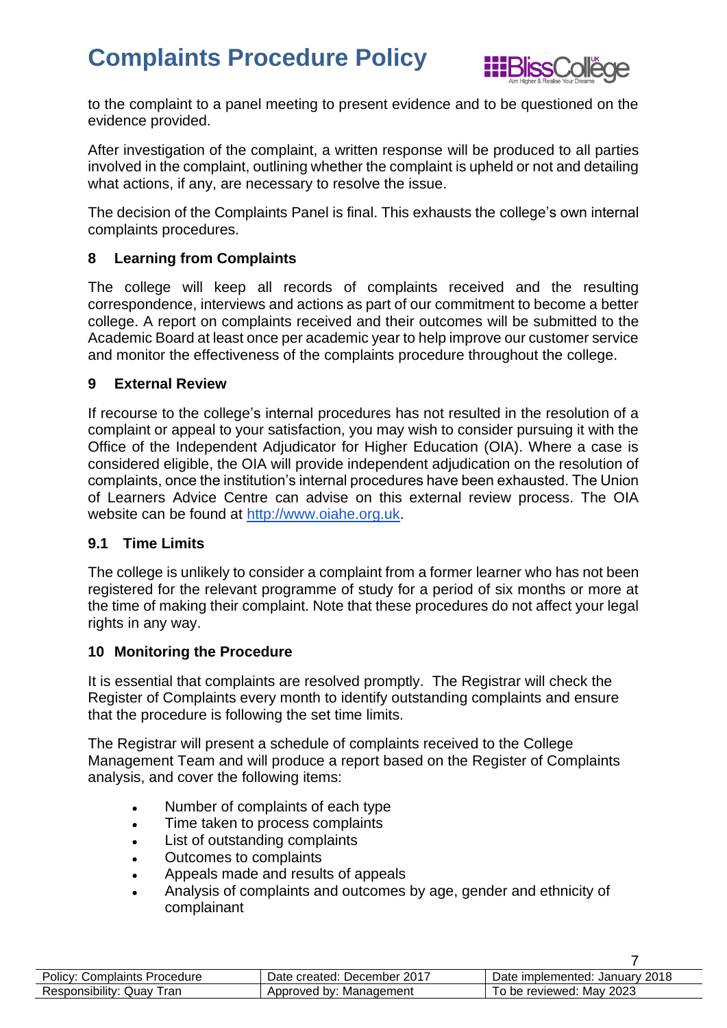

to the complaint to a panel meeting to present evidence and to be questioned on the evidence provided.

After investigation of the complaint, a written response will be produced to all parties involved in the complaint, outlining whether the complaint is upheld or not and detailing what actions, if any, are necessary to resolve the issue.

The decision of the Complaints Panel is final. This exhausts the college's own internal complaints procedures.

#### <span id="page-6-0"></span>**8 Learning from Complaints**

The college will keep all records of complaints received and the resulting correspondence, interviews and actions as part of our commitment to become a better college. A report on complaints received and their outcomes will be submitted to the Academic Board at least once per academic year to help improve our customer service and monitor the effectiveness of the complaints procedure throughout the college.

#### <span id="page-6-1"></span>**9 External Review**

If recourse to the college's internal procedures has not resulted in the resolution of a complaint or appeal to your satisfaction, you may wish to consider pursuing it with the Office of the Independent Adjudicator for Higher Education (OIA). Where a case is considered eligible, the OIA will provide independent adjudication on the resolution of complaints, once the institution's internal procedures have been exhausted. The Union of Learners Advice Centre can advise on this external review process. The OIA website can be found at [http://www.oiahe.org.uk.](http://www.oiahe.org.uk/)

#### <span id="page-6-2"></span>**9.1 Time Limits**

The college is unlikely to consider a complaint from a former learner who has not been registered for the relevant programme of study for a period of six months or more at the time of making their complaint. Note that these procedures do not affect your legal rights in any way.

#### <span id="page-6-3"></span>**10 Monitoring the Procedure**

It is essential that complaints are resolved promptly. The Registrar will check the Register of Complaints every month to identify outstanding complaints and ensure that the procedure is following the set time limits.

The Registrar will present a schedule of complaints received to the College Management Team and will produce a report based on the Register of Complaints analysis, and cover the following items:

- Number of complaints of each type
- Time taken to process complaints
- List of outstanding complaints
- Outcomes to complaints
- Appeals made and results of appeals
- Analysis of complaints and outcomes by age, gender and ethnicity of complainant

| <b>Policy: Complaints Procedure</b> | Date created: December 2017 | Date implemented: January 2018 |
|-------------------------------------|-----------------------------|--------------------------------|
| Responsibility: Quay<br>ran         | Approved by: Management     | To be reviewed: May 2023       |